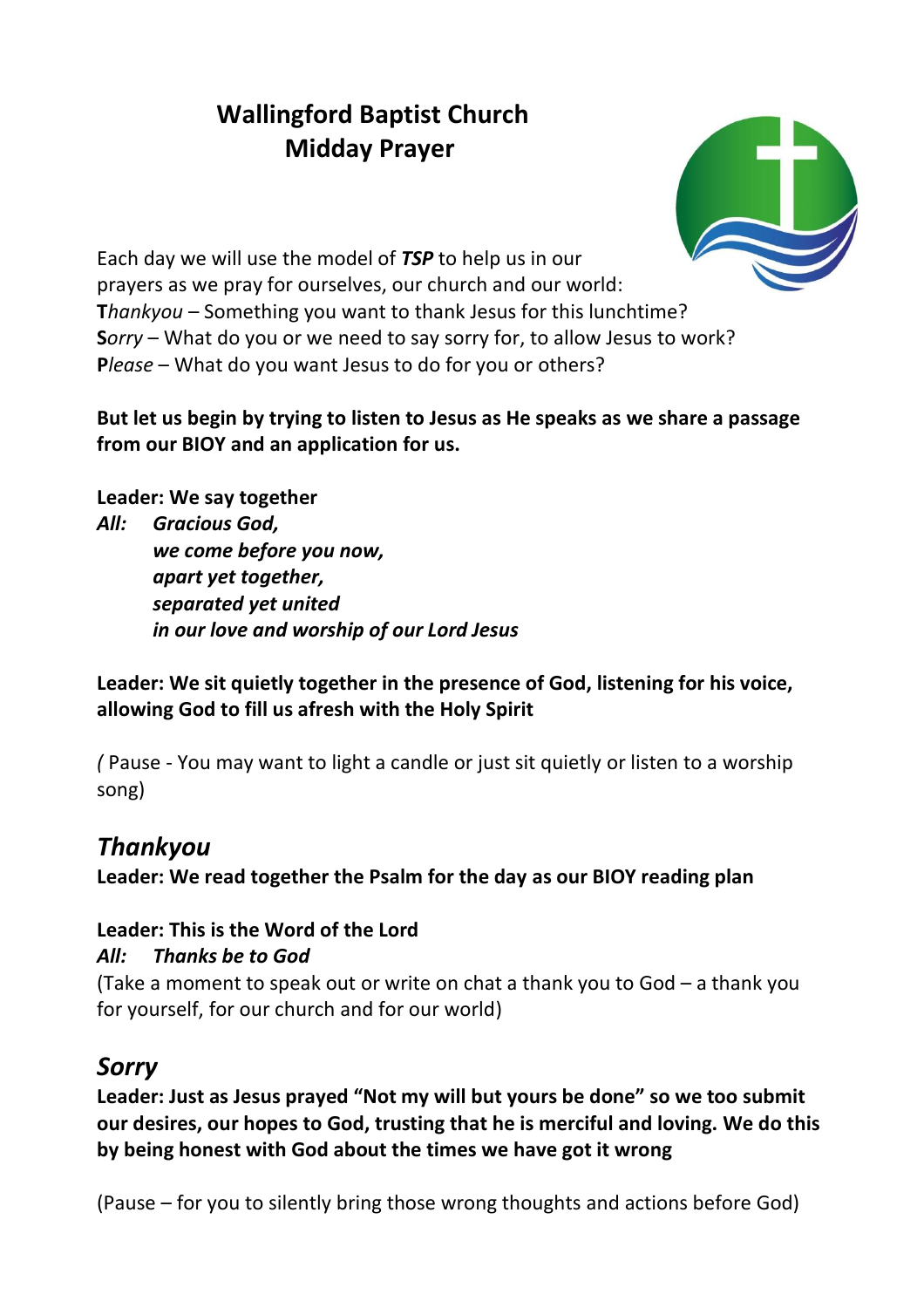# **Wallingford Baptist Church Midday Prayer**



Each day we will use the model of *TSP* to help us in our prayers as we pray for ourselves, our church and our world: **T***hankyou* – Something you want to thank Jesus for this lunchtime? **S***orry* – What do you or we need to say sorry for, to allow Jesus to work? Please – What do you want Jesus to do for you or others?

#### **But let us begin by trying to listen to Jesus as He speaks as we share a passage from our BIOY and an application for us.**

**Leader: We say together**

*All: Gracious God, we come before you now, apart yet together, separated yet united in our love and worship of our Lord Jesus*

**Leader: We sit quietly together in the presence of God, listening for his voice, allowing God to fill us afresh with the Holy Spirit**

*(* Pause - You may want to light a candle or just sit quietly or listen to a worship song)

## *Thankyou*

**Leader: We read together the Psalm for the day as our BIOY reading plan**

### **Leader: This is the Word of the Lord**

### *All: Thanks be to God*

(Take a moment to speak out or write on chat a thank you to God – a thank you for yourself, for our church and for our world)

## *Sorry*

**Leader: Just as Jesus prayed "Not my will but yours be done" so we too submit our desires, our hopes to God, trusting that he is merciful and loving. We do this by being honest with God about the times we have got it wrong**

(Pause – for you to silently bring those wrong thoughts and actions before God)